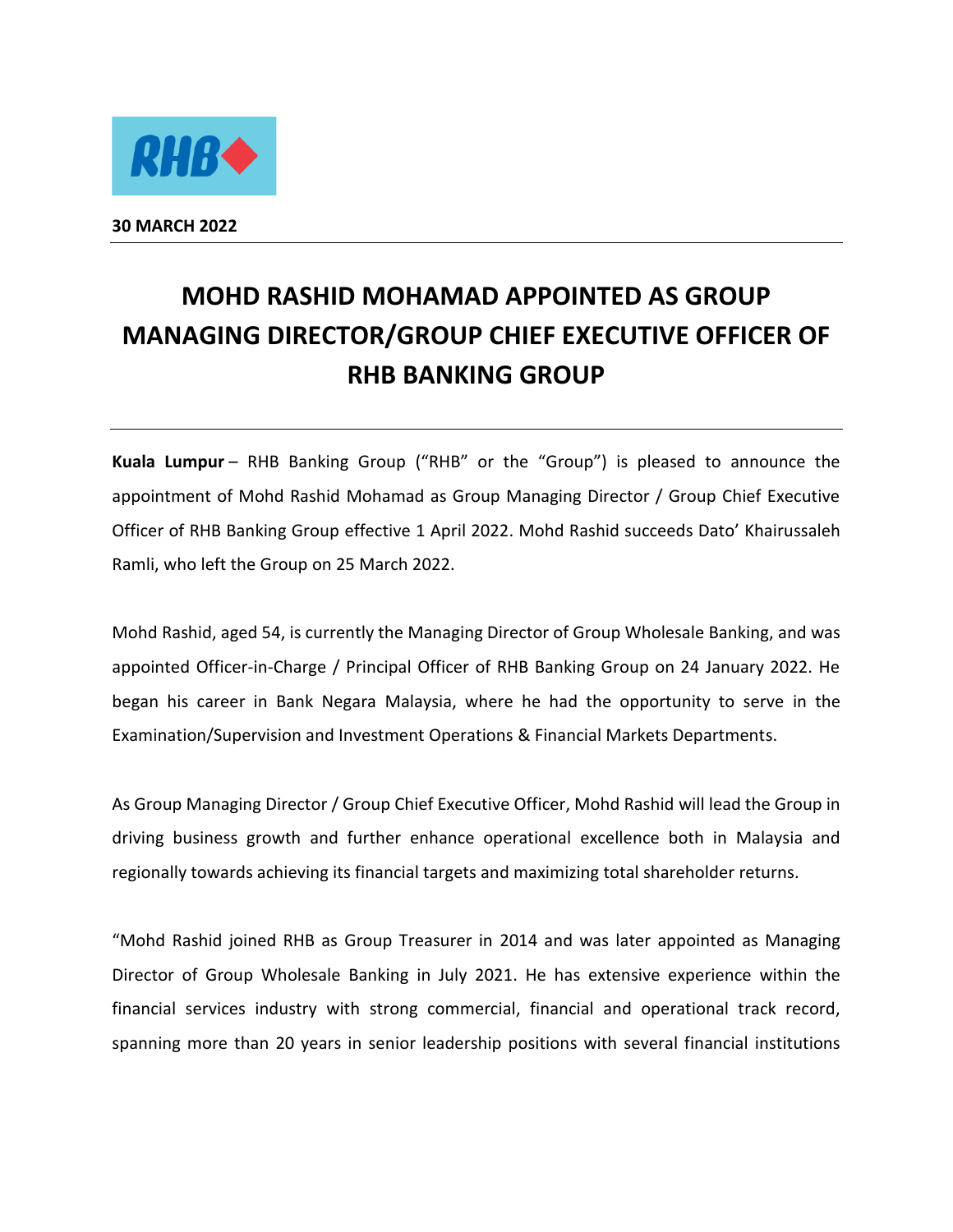

**30 MARCH 2022** 

## **MOHD RASHID MOHAMAD APPOINTED AS GROUP MANAGING DIRECTOR/GROUP CHIEF EXECUTIVE OFFICER OF RHB BANKING GROUP**

**Kuala Lumpur** – RHB Banking Group ("RHB" or the "Group") is pleased to announce the appointment of Mohd Rashid Mohamad as Group Managing Director / Group Chief Executive Officer of RHB Banking Group effective 1 April 2022. Mohd Rashid succeeds Dato' Khairussaleh Ramli, who left the Group on 25 March 2022.

Mohd Rashid, aged 54, is currently the Managing Director of Group Wholesale Banking, and was appointed Officer-in-Charge / Principal Officer of RHB Banking Group on 24 January 2022. He began his career in Bank Negara Malaysia, where he had the opportunity to serve in the Examination/Supervision and Investment Operations & Financial Markets Departments.

As Group Managing Director / Group Chief Executive Officer, Mohd Rashid will lead the Group in driving business growth and further enhance operational excellence both in Malaysia and regionally towards achieving its financial targets and maximizing total shareholder returns.

"Mohd Rashid joined RHB as Group Treasurer in 2014 and was later appointed as Managing Director of Group Wholesale Banking in July 2021. He has extensive experience within the financial services industry with strong commercial, financial and operational track record, spanning more than 20 years in senior leadership positions with several financial institutions